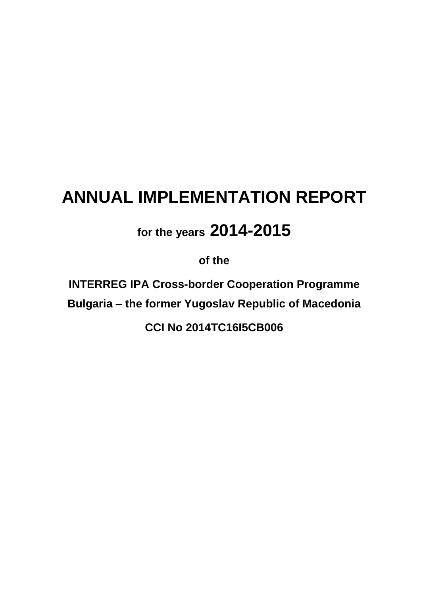# **ANNUAL IMPLEMENTATION REPORT**

# **for the years 2014-2015**

**of the**

**INTERREG IPA Cross-border Cooperation Programme Bulgaria – the former Yugoslav Republic of Macedonia**

**CCI No 2014TC16I5CB006**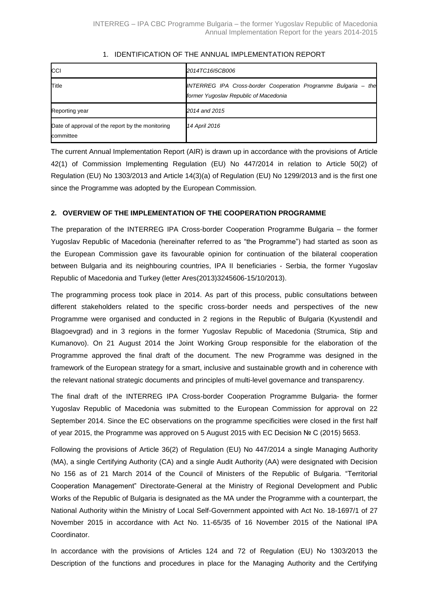| <b>ICCI</b>                                                   | 2014TC16I5CB006                                                                                         |
|---------------------------------------------------------------|---------------------------------------------------------------------------------------------------------|
| Title                                                         | INTERREG IPA Cross-border Cooperation Programme Bulgaria – the<br>former Yugoslav Republic of Macedonia |
| Reporting year                                                | 2014 and 2015                                                                                           |
| Date of approval of the report by the monitoring<br>committee | 14 April 2016                                                                                           |

# 1. IDENTIFICATION OF THE ANNUAL IMPLEMENTATION REPORT

The current Annual Implementation Report (AIR) is drawn up in accordance with the provisions of Article 42(1) of Commission Implementing Regulation (EU) No 447/2014 in relation to Article 50(2) of Regulation (EU) No 1303/2013 and Article 14(3)(a) of Regulation (EU) No 1299/2013 and is the first one since the Programme was adopted by the European Commission.

# **2. OVERVIEW OF THE IMPLEMENTATION OF THE COOPERATION PROGRAMME**

The preparation of the INTERREG IPA Cross-border Cooperation Programme Bulgaria – the former Yugoslav Republic of Macedonia (hereinafter referred to as "the Programme") had started as soon as the European Commission gave its favourable opinion for continuation of the bilateral cooperation between Bulgaria and its neighbouring countries, IPA II beneficiaries - Serbia, the former Yugoslav Republic of Macedonia and Turkey (letter Ares(2013)3245606-15/10/2013).

The programming process took place in 2014. As part of this process, public consultations between different stakeholders related to the specific cross-border needs and perspectives of the new Programme were organised and conducted in 2 regions in the Republic of Bulgaria (Kyustendil and Blagoevgrad) and in 3 regions in the former Yugoslav Republic of Macedonia (Strumica, Stip and Kumanovo). On 21 August 2014 the Joint Working Group responsible for the elaboration of the Programme approved the final draft of the document. The new Programme was designed in the framework of the European strategy for a smart, inclusive and sustainable growth and in coherence with the relevant national strategic documents and principles of multi-level governance and transparency.

The final draft of the INTERREG IPA Cross-border Cooperation Programme Bulgaria- the former Yugoslav Republic of Macedonia was submitted to the European Commission for approval on 22 September 2014. Since the EC observations on the programme specificities were closed in the first half of year 2015, the Programme was approved on 5 August 2015 with EC Decision № C (2015) 5653.

Following the provisions of Article 36(2) of Regulation (EU) No 447/2014 a single Managing Authority (MA), a single Certifying Authority (CA) and a single Audit Authority (AA) were designated with Decision No 156 as of 21 March 2014 of the Council of Ministers of the Republic of Bulgaria. "Territorial Cooperation Management" Directorate-General at the Ministry of Regional Development and Public Works of the Republic of Bulgaria is designated as the MA under the Programme with a counterpart, the National Authority within the Ministry of Local Self-Government appointed with Act No. 18-1697/1 of 27 November 2015 in accordance with Act No. 11-65/35 of 16 November 2015 of the National IPA Coordinator.

In accordance with the provisions of Articles 124 and 72 of Regulation (EU) No 1303/2013 the Description of the functions and procedures in place for the Managing Authority and the Certifying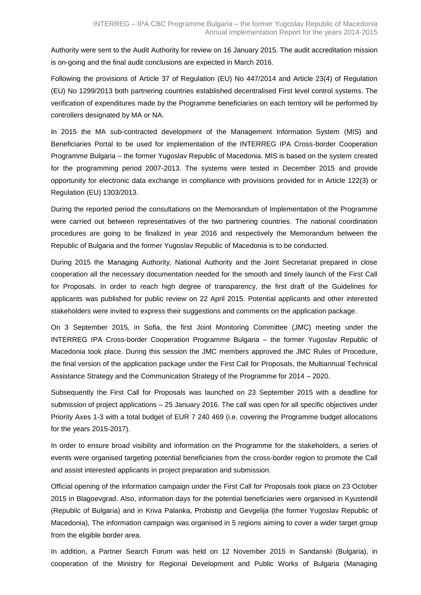Authority were sent to the Audit Authority for review on 16 January 2015. The audit accreditation mission is on-going and the final audit conclusions are expected in March 2016.

Following the provisions of Article 37 of Regulation (EU) No 447/2014 and Article 23(4) of Regulation (EU) No 1299/2013 both partnering countries established decentralised First level control systems. The verification of expenditures made by the Programme beneficiaries on each territory will be performed by controllers designated by MA or NA.

In 2015 the MA sub-contracted development of the Management Information System (MIS) and Beneficiaries Portal to be used for implementation of the INTERREG IPA Cross-border Cooperation Programme Bulgaria – the former Yugoslav Republic of Macedonia. MIS is based on the system created for the programming period 2007-2013. The systems were tested in December 2015 and provide opportunity for electronic data exchange in compliance with provisions provided for in Article 122(3) or Regulation (EU) 1303/2013.

During the reported period the consultations on the Memorandum of Implementation of the Programme were carried out between representatives of the two partnering countries. The national coordination procedures are going to be finalized in year 2016 and respectively the Memorandum between the Republic of Bulgaria and the former Yugoslav Republic of Macedonia is to be conducted.

During 2015 the Managing Authority, National Authority and the Joint Secretariat prepared in close cooperation all the necessary documentation needed for the smooth and timely launch of the First Call for Proposals. In order to reach high degree of transparency, the first draft of the Guidelines for applicants was published for public review on 22 April 2015. Potential applicants and other interested stakeholders were invited to express their suggestions and comments on the application package.

On 3 September 2015, in Sofia, the first Joint Monitoring Committee (JMC) meeting under the INTERREG IPA Cross-border Cooperation Programme Bulgaria – the former Yugoslav Republic of Macedonia took place. During this session the JMC members approved the JMC Rules of Procedure, the final version of the application package under the First Call for Proposals, the Multiannual Technical Assistance Strategy and the Communication Strategy of the Programme for 2014 – 2020.

Subsequently the First Call for Proposals was launched on 23 September 2015 with a deadline for submission of project applications – 25 January 2016. The call was open for all specific objectives under Priority Axes 1-3 with a total budget of EUR 7 240 469 (i.e. covering the Programme budget allocations for the years 2015-2017).

In order to ensure broad visibility and information on the Programme for the stakeholders, a series of events were organised targeting potential beneficiaries from the cross-border region to promote the Call and assist interested applicants in project preparation and submission.

Official opening of the information campaign under the First Call for Proposals took place on 23 October 2015 in Blagoevgrad. Also, information days for the potential beneficiaries were organised in Kyustendil (Republic of Bulgaria) and in Kriva Palanka, Probistip and Gevgelija (the former Yugoslav Republic of Macedonia), The information campaign was organised in 5 regions aiming to cover a wider target group from the eligible border area.

In addition, a Partner Search Forum was held on 12 November 2015 in Sandanski (Bulgaria), in cooperation of the Ministry for Regional Development and Public Works of Bulgaria (Managing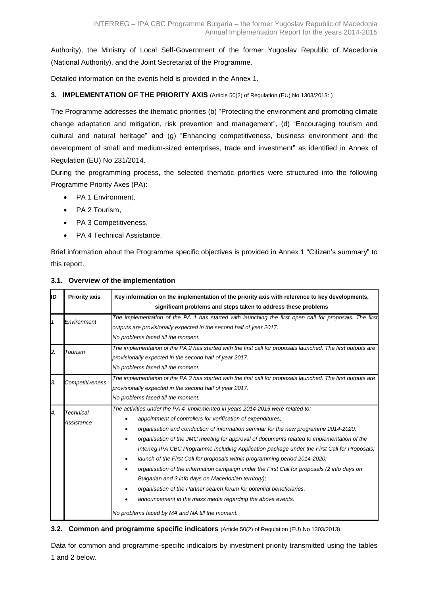Authority), the Ministry of Local Self-Government of the former Yugoslav Republic of Macedonia (National Authority), and the Joint Secretariat of the Programme.

Detailed information on the events held is provided in the Annex 1.

# **3. IMPLEMENTATION OF THE PRIORITY AXIS** (Article 50(2) of Regulation (EU) No 1303/2013:.)

The Programme addresses the thematic priorities (b) "Protecting the environment and promoting climate change adaptation and mitigation, risk prevention and management", (d) "Encouraging tourism and cultural and natural heritage" and (g) "Enhancing competitiveness, business environment and the development of small and medium-sized enterprises, trade and investment" as identified in Annex of Regulation (EU) No 231/2014.

During the programming process, the selected thematic priorities were structured into the following Programme Priority Axes (PA):

- PA 1 Environment,
- PA 2 Tourism,
- PA 3 Competitiveness,
- PA 4 Technical Assistance.

Brief information about the Programme specific objectives is provided in Annex 1 "Citizen's summary" to this report.

| lіD | <b>Priority axis</b>    | Key information on the implementation of the priority axis with reference to key developments,<br>significant problems and steps taken to address these problems                                                                                                                                                                                                                                                                                                                                                                                                                                                                                                                                                                                                                                                                                                            |
|-----|-------------------------|-----------------------------------------------------------------------------------------------------------------------------------------------------------------------------------------------------------------------------------------------------------------------------------------------------------------------------------------------------------------------------------------------------------------------------------------------------------------------------------------------------------------------------------------------------------------------------------------------------------------------------------------------------------------------------------------------------------------------------------------------------------------------------------------------------------------------------------------------------------------------------|
|     | Environment             | The implementation of the PA 1 has started with launching the first open call for proposals. The first<br>outputs are provisionally expected in the second half of year 2017.<br>No problems faced till the moment.                                                                                                                                                                                                                                                                                                                                                                                                                                                                                                                                                                                                                                                         |
| 2.  | Tourism                 | The implementation of the PA 2 has started with the first call for proposals launched. The first outputs are<br>provisionally expected in the second half of year 2017.<br>No problems faced till the moment.                                                                                                                                                                                                                                                                                                                                                                                                                                                                                                                                                                                                                                                               |
| 3.  | Competitiveness         | The implementation of the PA 3 has started with the first call for proposals launched. The first outputs are<br>provisionally expected in the second half of year 2017.<br>No problems faced till the moment.                                                                                                                                                                                                                                                                                                                                                                                                                                                                                                                                                                                                                                                               |
| 4.  | Technical<br>Assistance | The activities under the PA 4 implemented in years 2014-2015 were related to:<br>appointment of controllers for verification of expenditures;<br>organisation and conduction of information seminar for the new programme 2014-2020;<br>٠<br>organisation of the JMC meeting for approval of documents related to implementation of the<br>Interreg IPA CBC Programme including Application package under the First Call for Proposals;<br>launch of the First Call for proposals within programming period 2014-2020;<br>٠<br>organisation of the information campaign under the First Call for proposals (2 info days on<br>Bulgarian and 3 info days on Macedonian territory);<br>organisation of the Partner search forum for potential beneficiaries,<br>announcement in the mass media regarding the above events.<br>No problems faced by MA and NA till the moment. |

#### **3.1. Overview of the implementation**

#### **3.2. Common and programme specific indicators** (Article 50(2) of Regulation (EU) No 1303/2013)

Data for common and programme-specific indicators by investment priority transmitted using the tables 1 and 2 below.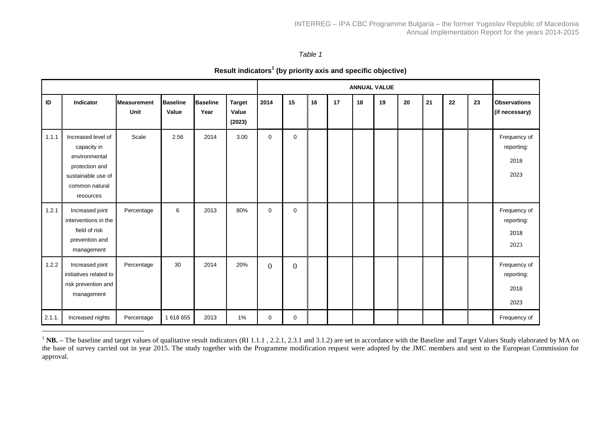*Table 1*

|  |  | Result indicators <sup>1</sup> (by priority axis and specific objective) |
|--|--|--------------------------------------------------------------------------|
|--|--|--------------------------------------------------------------------------|

|        |                                                                                                                           |                            |                          |                         |                                  |                |                |    |    |    | <b>ANNUAL VALUE</b> |    |    |    |    |                                            |
|--------|---------------------------------------------------------------------------------------------------------------------------|----------------------------|--------------------------|-------------------------|----------------------------------|----------------|----------------|----|----|----|---------------------|----|----|----|----|--------------------------------------------|
| ID     | Indicator                                                                                                                 | <b>Measurement</b><br>Unit | <b>Baseline</b><br>Value | <b>Baseline</b><br>Year | <b>Target</b><br>Value<br>(2023) | 2014           | 15             | 16 | 17 | 18 | 19                  | 20 | 21 | 22 | 23 | <b>Observations</b><br>(if necessary)      |
| 1.1.1  | Increased level of<br>capacity in<br>environmental<br>protection and<br>sustainable use of<br>common natural<br>resources | Scale                      | 2.56                     | 2014                    | 3.00                             | $\mathbf 0$    | $\mathbf 0$    |    |    |    |                     |    |    |    |    | Frequency of<br>reporting:<br>2018<br>2023 |
| 1.2.1  | Increased joint<br>interventions in the<br>field of risk<br>prevention and<br>management                                  | Percentage                 | 6                        | 2013                    | 80%                              | 0              | $\mathbf 0$    |    |    |    |                     |    |    |    |    | Frequency of<br>reporting:<br>2018<br>2023 |
| 1.2.2  | Increased joint<br>initiatives related to<br>risk prevention and<br>management                                            | Percentage                 | 30                       | 2014                    | 20%                              | $\overline{0}$ | $\overline{0}$ |    |    |    |                     |    |    |    |    | Frequency of<br>reporting:<br>2018<br>2023 |
| 2.1.1. | Increased nights                                                                                                          | Percentage                 | 1618655                  | 2013                    | $1\%$                            | 0              | $\mathbf 0$    |    |    |    |                     |    |    |    |    | Frequency of                               |

<sup>&</sup>lt;sup>1</sup> NB. – The baseline and target values of qualitative result indicators (RI 1.1.1, 2.2.1, 2.3.1 and 3.1.2) are set in accordance with the Baseline and Target Values Study elaborated by MA on the base of survey carried out in year 2015. The study together with the Programme modification request were adopted by the JMC members and sent to the European Commission for approval.

 $\overline{a}$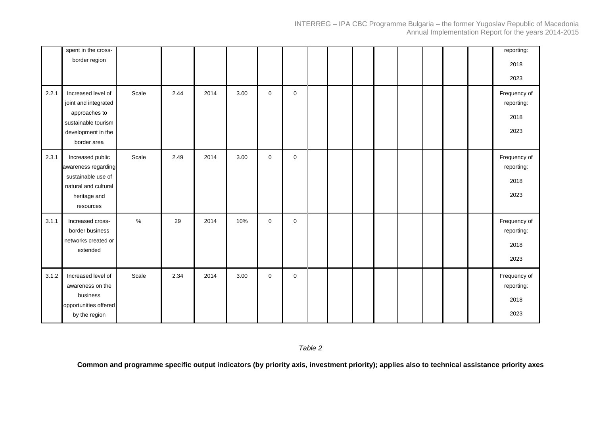|       | spent in the cross-<br>border region                                                                                    |       |      |      |      |             |             |  |  |  |  | reporting:<br>2018<br>2023                 |
|-------|-------------------------------------------------------------------------------------------------------------------------|-------|------|------|------|-------------|-------------|--|--|--|--|--------------------------------------------|
| 2.2.1 | Increased level of<br>joint and integrated<br>approaches to<br>sustainable tourism<br>development in the<br>border area | Scale | 2.44 | 2014 | 3.00 | $\mathbf 0$ | $\mathbf 0$ |  |  |  |  | Frequency of<br>reporting:<br>2018<br>2023 |
| 2.3.1 | Increased public<br>awareness regarding<br>sustainable use of<br>natural and cultural<br>heritage and<br>resources      | Scale | 2.49 | 2014 | 3.00 | $\mathbf 0$ | $\mathbf 0$ |  |  |  |  | Frequency of<br>reporting:<br>2018<br>2023 |
| 3.1.1 | Increased cross-<br>border business<br>networks created or<br>extended                                                  | $\%$  | 29   | 2014 | 10%  | $\mathbf 0$ | $\mathbf 0$ |  |  |  |  | Frequency of<br>reporting:<br>2018<br>2023 |
| 3.1.2 | Increased level of<br>awareness on the<br>business<br>opportunities offered<br>by the region                            | Scale | 2.34 | 2014 | 3.00 | 0           | $\mathbf 0$ |  |  |  |  | Frequency of<br>reporting:<br>2018<br>2023 |

**Common and programme specific output indicators (by priority axis, investment priority); applies also to technical assistance priority axes**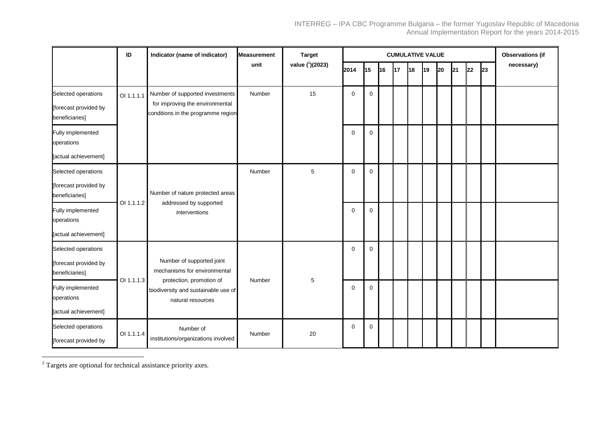|                                              | ID         | Indicator (name of indicator)                                                        | <b>Measurement</b> | <b>Target</b>         | <b>CUMULATIVE VALUE</b> |             |    |    |    |    |    |    |    |    | <b>Observations (if</b> |
|----------------------------------------------|------------|--------------------------------------------------------------------------------------|--------------------|-----------------------|-------------------------|-------------|----|----|----|----|----|----|----|----|-------------------------|
|                                              |            |                                                                                      | unit               | value $(^{2})$ (2023) | 2014                    | 15          | 16 | 17 | 18 | 19 | 20 | 21 | 22 | 23 | necessary)              |
| Selected operations                          | OI 1.1.1.1 | Number of supported investments                                                      | Number             | 15                    | $\mathbf 0$             | $\mathbf 0$ |    |    |    |    |    |    |    |    |                         |
| [forecast provided by<br>beneficiaries]      |            | for improving the environmental<br>conditions in the programme region                |                    |                       |                         |             |    |    |    |    |    |    |    |    |                         |
| Fully implemented<br>operations              |            |                                                                                      |                    |                       | $\mathbf 0$             | $\mathbf 0$ |    |    |    |    |    |    |    |    |                         |
| [actual achievement]                         |            |                                                                                      |                    |                       |                         |             |    |    |    |    |    |    |    |    |                         |
| Selected operations                          |            |                                                                                      | Number             | $\mathbf 5$           | $\mathbf 0$             | $\mathbf 0$ |    |    |    |    |    |    |    |    |                         |
| [forecast provided by<br>beneficiaries]      |            | Number of nature protected areas                                                     |                    |                       |                         |             |    |    |    |    |    |    |    |    |                         |
| Fully implemented<br>operations              | OI 1.1.1.2 | addressed by supported<br>interventions                                              |                    |                       | $\mathbf 0$             | $\mathbf 0$ |    |    |    |    |    |    |    |    |                         |
| [actual achievement]                         |            |                                                                                      |                    |                       |                         |             |    |    |    |    |    |    |    |    |                         |
| Selected operations                          |            |                                                                                      |                    |                       | 0                       | $\mathbf 0$ |    |    |    |    |    |    |    |    |                         |
| [forecast provided by<br>beneficiaries]      |            | Number of supported joint<br>mechanisms for environmental                            |                    |                       |                         |             |    |    |    |    |    |    |    |    |                         |
| Fully implemented<br>operations              | OI 1.1.1.3 | protection, promotion of<br>biodiversity and sustainable use of<br>natural resources | Number             | 5                     | $\mathbf 0$             | $\mathbf 0$ |    |    |    |    |    |    |    |    |                         |
| [actual achievement]                         |            |                                                                                      |                    |                       |                         |             |    |    |    |    |    |    |    |    |                         |
| Selected operations<br>[forecast provided by | OI 1.1.1.4 | Number of<br>institutions/organizations involved                                     | Number             | 20                    | $\mathbf 0$             | $\mathbf 0$ |    |    |    |    |    |    |    |    |                         |

**<sup>2</sup>** Targets are optional for technical assistance priority axes.

 $\overline{a}$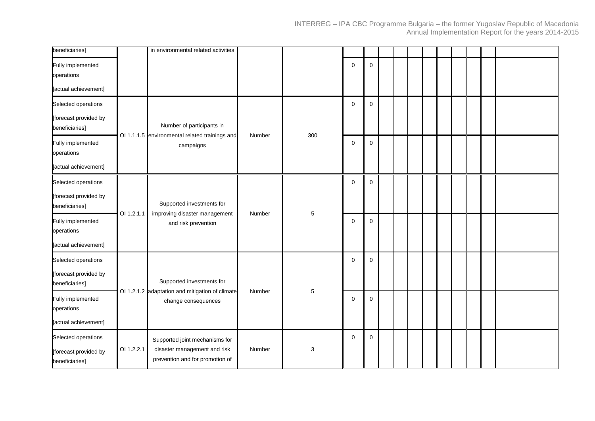| beneficiaries]                               |            | in environmental related activities                                         |        |             |             |             |  |  |  |  |  |
|----------------------------------------------|------------|-----------------------------------------------------------------------------|--------|-------------|-------------|-------------|--|--|--|--|--|
| Fully implemented<br>operations              |            |                                                                             |        |             | $\mathbf 0$ | $\mathbf 0$ |  |  |  |  |  |
| [actual achievement]                         |            |                                                                             |        |             |             |             |  |  |  |  |  |
| Selected operations                          |            |                                                                             |        |             | $\mathbf 0$ | $\mathbf 0$ |  |  |  |  |  |
| [forecast provided by<br>beneficiaries]      |            | Number of participants in<br>OI 1.1.1.5 environmental related trainings and | Number | 300         |             |             |  |  |  |  |  |
| Fully implemented<br>operations              |            | campaigns                                                                   |        |             | $\mathbf 0$ | $\mathbf 0$ |  |  |  |  |  |
| [actual achievement]                         |            |                                                                             |        |             |             |             |  |  |  |  |  |
| Selected operations                          |            |                                                                             |        |             | $\mathbf 0$ | $\mathbf 0$ |  |  |  |  |  |
| [forecast provided by<br>beneficiaries]      | OI 1.2.1.1 | Supported investments for                                                   | Number |             |             |             |  |  |  |  |  |
| Fully implemented<br>operations              |            | improving disaster management<br>and risk prevention                        |        | $\mathbf 5$ | $\mathbf 0$ | $\mathbf 0$ |  |  |  |  |  |
| [actual achievement]                         |            |                                                                             |        |             |             |             |  |  |  |  |  |
| Selected operations                          |            |                                                                             |        |             | $\mathbf 0$ | $\mathbf 0$ |  |  |  |  |  |
| [forecast provided by<br>beneficiaries]      |            | Supported investments for                                                   |        |             |             |             |  |  |  |  |  |
| Fully implemented<br>operations              |            | OI 1.2.1.2 adaptation and mitigation of climate<br>change consequences      | Number | $\mathbf 5$ | 0           | $\mathbf 0$ |  |  |  |  |  |
| [actual achievement]                         |            |                                                                             |        |             |             |             |  |  |  |  |  |
| Selected operations<br>[forecast provided by | OI 1.2.2.1 | Supported joint mechanisms for<br>disaster management and risk              | Number | 3           | $\mathbf 0$ | $\mathbf 0$ |  |  |  |  |  |
| beneficiaries]                               |            | prevention and for promotion of                                             |        |             |             |             |  |  |  |  |  |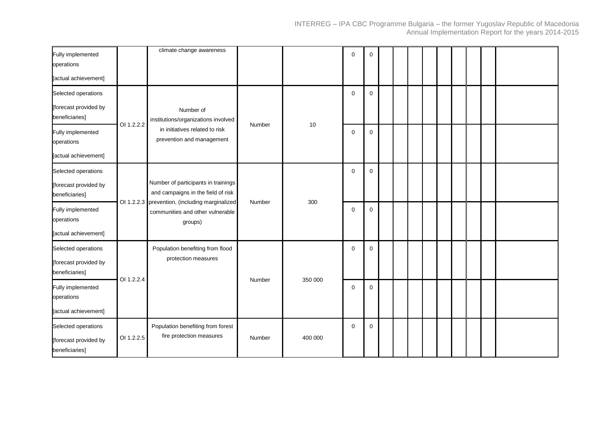| Fully implemented<br>operations                                |            | climate change awareness                                                                      |        |         | $\mathbf 0$ | 0           |  |  |  |  |  |
|----------------------------------------------------------------|------------|-----------------------------------------------------------------------------------------------|--------|---------|-------------|-------------|--|--|--|--|--|
| [actual achievement]                                           |            |                                                                                               |        |         |             |             |  |  |  |  |  |
| Selected operations                                            |            |                                                                                               |        |         | $\mathbf 0$ | $\mathbf 0$ |  |  |  |  |  |
| [forecast provided by<br>beneficiaries]                        | OI 1.2.2.2 | Number of<br>institutions/organizations involved                                              | Number | 10      |             |             |  |  |  |  |  |
| Fully implemented<br>operations                                |            | in initiatives related to risk<br>prevention and management                                   |        |         | $\mathbf 0$ | $\mathbf 0$ |  |  |  |  |  |
| [actual achievement]                                           |            |                                                                                               |        |         |             |             |  |  |  |  |  |
| Selected operations                                            |            |                                                                                               |        |         | $\mathbf 0$ | $\mathbf 0$ |  |  |  |  |  |
| [forecast provided by<br>beneficiaries]                        |            | Number of participants in trainings<br>and campaigns in the field of risk                     |        |         |             |             |  |  |  |  |  |
| Fully implemented<br>operations                                |            | OI 1.2.2.3 prevention, (including marginalized<br>communities and other vulnerable<br>groups) | Number | 300     | $\mathbf 0$ | $\mathbf 0$ |  |  |  |  |  |
| [actual achievement]                                           |            |                                                                                               |        |         |             |             |  |  |  |  |  |
| Selected operations                                            |            | Population benefiting from flood                                                              |        |         | $\mathbf 0$ | $\mathbf 0$ |  |  |  |  |  |
| [forecast provided by<br>beneficiaries]                        |            | protection measures                                                                           |        |         |             |             |  |  |  |  |  |
| Fully implemented<br>operations                                | OI 1.2.2.4 |                                                                                               | Number | 350 000 | 0           | 0           |  |  |  |  |  |
| [actual achievement]                                           |            |                                                                                               |        |         |             |             |  |  |  |  |  |
| Selected operations<br>[forecast provided by<br>beneficiaries] | OI 1.2.2.5 | Population benefiting from forest<br>fire protection measures                                 | Number | 400 000 | $\mathbf 0$ | 0           |  |  |  |  |  |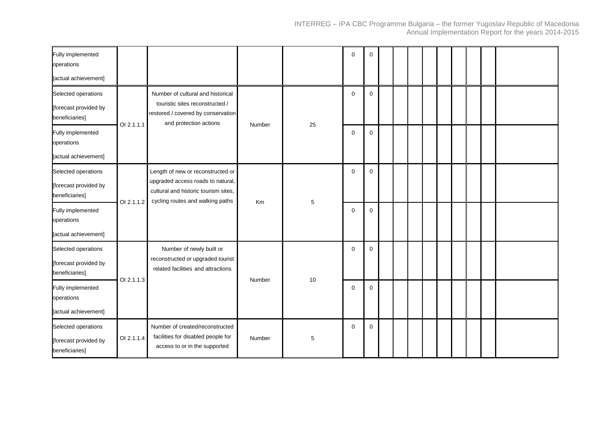| Fully implemented<br>operations                                |            |                                                                                                                                      |        |    | $\mathbf 0$ | 0           |  |  |  |  |  |
|----------------------------------------------------------------|------------|--------------------------------------------------------------------------------------------------------------------------------------|--------|----|-------------|-------------|--|--|--|--|--|
| [actual achievement]                                           |            |                                                                                                                                      |        |    |             |             |  |  |  |  |  |
| Selected operations<br>[forecast provided by<br>beneficiaries] | OI 2.1.1.1 | Number of cultural and historical<br>touristic sites reconstructed /<br>restored / covered by conservation<br>and protection actions | Number | 25 | $\mathbf 0$ | $\mathbf 0$ |  |  |  |  |  |
| Fully implemented<br>operations<br>[actual achievement]        |            |                                                                                                                                      |        |    | $\mathbf 0$ | $\Omega$    |  |  |  |  |  |
| Selected operations<br>[forecast provided by<br>beneficiaries] |            | Length of new or reconstructed or<br>upgraded access roads to natural,<br>cultural and historic tourism sites,                       |        |    | $\mathbf 0$ | $\mathbf 0$ |  |  |  |  |  |
| Fully implemented<br>operations                                | OI 2.1.1.2 | cycling routes and walking paths                                                                                                     | Km     | 5  | $\Omega$    | $\mathbf 0$ |  |  |  |  |  |
| [actual achievement]                                           |            |                                                                                                                                      |        |    |             |             |  |  |  |  |  |
| Selected operations<br>[forecast provided by<br>beneficiaries] | OI 2.1.1.3 | Number of newly built or<br>reconstructed or upgraded tourist<br>related facilities and attractions                                  | Number |    | $\mathbf 0$ | $\mathbf 0$ |  |  |  |  |  |
| Fully implemented<br>operations<br>[actual achievement]        |            |                                                                                                                                      |        | 10 | $\mathbf 0$ | $\mathbf 0$ |  |  |  |  |  |
| Selected operations<br>[forecast provided by<br>beneficiaries] | OI 2.1.1.4 | Number of created/reconstructed<br>facilities for disabled people for<br>access to or in the supported                               | Number | 5  | $\mathbf 0$ | $\mathbf 0$ |  |  |  |  |  |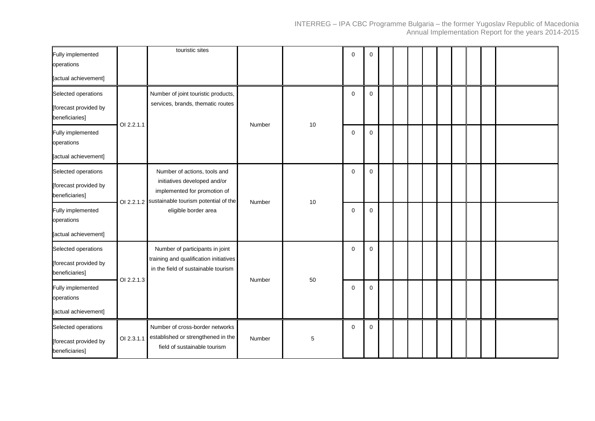| Fully implemented<br>operations                                                                   |            | touristic sites                                                                                                                                              |        |      | $\mathbf 0$      | 0      |  |  |  |  |  |
|---------------------------------------------------------------------------------------------------|------------|--------------------------------------------------------------------------------------------------------------------------------------------------------------|--------|------|------------------|--------|--|--|--|--|--|
| [actual achievement]                                                                              |            |                                                                                                                                                              |        |      |                  |        |  |  |  |  |  |
| Selected operations<br>[forecast provided by<br>beneficiaries]                                    | OI 2.2.1.1 | Number of joint touristic products,<br>services, brands, thematic routes                                                                                     | Number | 10   | $\mathbf 0$      | 0      |  |  |  |  |  |
| Fully implemented<br>operations<br>[actual achievement]                                           |            |                                                                                                                                                              |        |      | $\mathbf 0$      | 0      |  |  |  |  |  |
| Selected operations<br>[forecast provided by<br>beneficiaries]<br>Fully implemented<br>operations | OI 2.2.1.2 | Number of actions, tools and<br>initiatives developed and/or<br>implemented for promotion of<br>sustainable tourism potential of the<br>eligible border area | Number | $10$ | 0<br>$\mathbf 0$ | 0<br>0 |  |  |  |  |  |
| [actual achievement]                                                                              |            |                                                                                                                                                              |        |      |                  |        |  |  |  |  |  |
| Selected operations<br>[forecast provided by<br>beneficiaries]                                    | OI 2.2.1.3 | Number of participants in joint<br>training and qualification initiatives<br>in the field of sustainable tourism                                             | Number | 50   | $\mathbf 0$      | 0      |  |  |  |  |  |
| Fully implemented<br>operations<br>[actual achievement]                                           |            |                                                                                                                                                              |        |      | $\mathbf 0$      | 0      |  |  |  |  |  |
| Selected operations<br>[forecast provided by<br>beneficiaries]                                    | OI 2.3.1.1 | Number of cross-border networks<br>established or strengthened in the<br>field of sustainable tourism                                                        | Number | 5    | $\mathbf 0$      | 0      |  |  |  |  |  |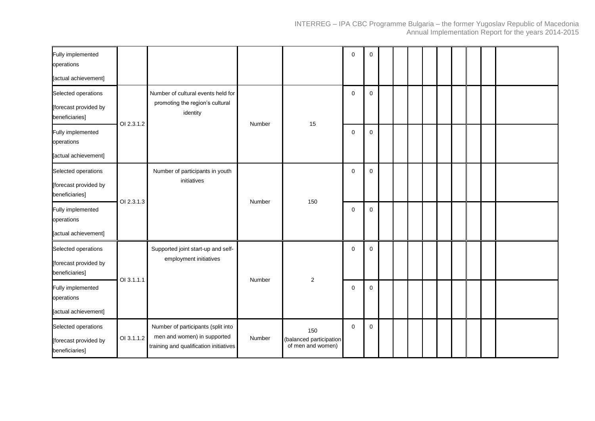| Fully implemented<br>operations                                |            |                                                                                                             |        |                                                     | $\mathbf 0$ | 0 |  |  |  |  |  |
|----------------------------------------------------------------|------------|-------------------------------------------------------------------------------------------------------------|--------|-----------------------------------------------------|-------------|---|--|--|--|--|--|
| [actual achievement]                                           |            |                                                                                                             |        |                                                     |             |   |  |  |  |  |  |
| Selected operations<br>[forecast provided by<br>beneficiaries] | OI 2.3.1.2 | Number of cultural events held for<br>promoting the region's cultural<br>identity                           | Number | 15                                                  | $\mathbf 0$ | 0 |  |  |  |  |  |
| Fully implemented<br>operations<br>[actual achievement]        |            |                                                                                                             |        |                                                     | $\mathbf 0$ | 0 |  |  |  |  |  |
| Selected operations<br>[forecast provided by<br>beneficiaries] | OI 2.3.1.3 | Number of participants in youth<br>initiatives                                                              | Number | 150                                                 | $\mathbf 0$ | 0 |  |  |  |  |  |
| Fully implemented<br>operations                                |            |                                                                                                             |        |                                                     | $\mathbf 0$ | 0 |  |  |  |  |  |
| [actual achievement]                                           |            |                                                                                                             |        |                                                     |             |   |  |  |  |  |  |
| Selected operations<br>[forecast provided by<br>beneficiaries] | OI 3.1.1.1 | Supported joint start-up and self-<br>employment initiatives                                                | Number | $\overline{2}$                                      | $\mathbf 0$ | 0 |  |  |  |  |  |
| Fully implemented<br>operations<br>[actual achievement]        |            |                                                                                                             |        |                                                     | $\mathbf 0$ | 0 |  |  |  |  |  |
| Selected operations<br>[forecast provided by<br>beneficiaries] | OI 3.1.1.2 | Number of participants (split into<br>men and women) in supported<br>training and qualification initiatives | Number | 150<br>(balanced participation<br>of men and women) | $\mathbf 0$ | 0 |  |  |  |  |  |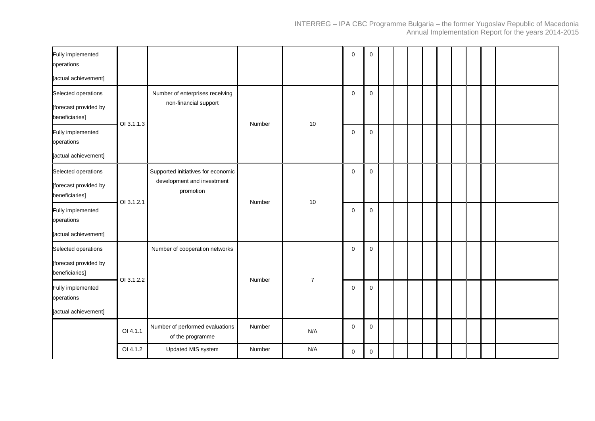| Fully implemented<br>operations         |            |                                                                  |        |                | $\mathbf 0$ | $\mathbf 0$ |  |  |  |  |  |
|-----------------------------------------|------------|------------------------------------------------------------------|--------|----------------|-------------|-------------|--|--|--|--|--|
| [actual achievement]                    |            |                                                                  |        |                |             |             |  |  |  |  |  |
| Selected operations                     |            | Number of enterprises receiving                                  |        |                | $\mathbf 0$ | $\mathbf 0$ |  |  |  |  |  |
| [forecast provided by<br>beneficiaries] | OI 3.1.1.3 | non-financial support                                            | Number | 10             |             |             |  |  |  |  |  |
| Fully implemented<br>operations         |            |                                                                  |        |                | $\mathbf 0$ | $\mathbf 0$ |  |  |  |  |  |
| [actual achievement]                    |            |                                                                  |        |                |             |             |  |  |  |  |  |
| Selected operations                     |            | Supported initiatives for economic<br>development and investment |        |                | $\mathbf 0$ | $\mathbf 0$ |  |  |  |  |  |
| [forecast provided by<br>beneficiaries] | OI 3.1.2.1 | promotion                                                        | Number | 10             |             |             |  |  |  |  |  |
| Fully implemented<br>operations         |            |                                                                  |        |                | $\mathbf 0$ | $\mathbf 0$ |  |  |  |  |  |
| [actual achievement]                    |            |                                                                  |        |                |             |             |  |  |  |  |  |
| Selected operations                     |            | Number of cooperation networks                                   |        |                | $\mathbf 0$ | $\mathbf 0$ |  |  |  |  |  |
| [forecast provided by<br>beneficiaries] | OI 3.1.2.2 |                                                                  | Number | $\overline{7}$ |             |             |  |  |  |  |  |
| Fully implemented<br>operations         |            |                                                                  |        |                | $\mathbf 0$ | $\mathbf 0$ |  |  |  |  |  |
| [actual achievement]                    |            |                                                                  |        |                |             |             |  |  |  |  |  |
|                                         | OI 4.1.1   | Number of performed evaluations<br>of the programme              | Number | N/A            | $\mathbf 0$ | 0           |  |  |  |  |  |
|                                         | OI 4.1.2   | Updated MIS system                                               | Number | N/A            | $\mathbf 0$ | 0           |  |  |  |  |  |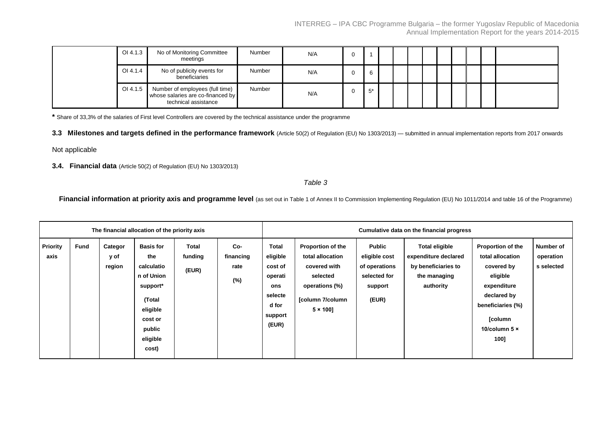| OI 4.1.3 | No of Monitoring Committee<br>meetings                                                       | <b>Number</b> | N/A |       |  |  |  |  |  |
|----------|----------------------------------------------------------------------------------------------|---------------|-----|-------|--|--|--|--|--|
| OI 4.1.4 | No of publicity events for<br>beneficiaries                                                  | Number        | N/A | 6     |  |  |  |  |  |
| OI 4.1.5 | Number of employees (full time)<br>whose salaries are co-financed by<br>technical assistance | Number        | N/A | $5^*$ |  |  |  |  |  |

**\*** Share of 33,3% of the salaries of First level Controllers are covered by the technical assistance under the programme

3.3 Milestones and targets defined in the performance framework (Article 50(2) of Regulation (EU) No 1303/2013) — submitted in annual implementation reports from 2017 onwards

Not applicable

**3.4. Financial data** (Article 50(2) of Regulation (EU) No 1303/2013)

*Table 3*

**Financial information at priority axis and programme level** (as set out in Table 1 of Annex II to Commission Implementing Regulation (EU) No 1011/2014 and table 16 of the Programme)

|                         |             |                           | The financial allocation of the priority axis                                                                                   |                           |                                 | Cumulative data on the financial progress                                              |                                                                                                                                    |                                                                              |                                                                                                   |                                                                                                                                                                      |                                      |  |
|-------------------------|-------------|---------------------------|---------------------------------------------------------------------------------------------------------------------------------|---------------------------|---------------------------------|----------------------------------------------------------------------------------------|------------------------------------------------------------------------------------------------------------------------------------|------------------------------------------------------------------------------|---------------------------------------------------------------------------------------------------|----------------------------------------------------------------------------------------------------------------------------------------------------------------------|--------------------------------------|--|
| <b>Priority</b><br>axis | <b>Fund</b> | Categor<br>y of<br>region | <b>Basis for</b><br>the<br>calculatio<br>n of Union<br>support*<br>(Total<br>eligible<br>cost or<br>public<br>eligible<br>cost) | Total<br>funding<br>(EUR) | Co-<br>financing<br>rate<br>(%) | Total<br>eligible<br>cost of<br>operati<br>ons<br>selecte<br>d for<br>support<br>(EUR) | <b>Proportion of the</b><br>total allocation<br>covered with<br>selected<br>operations (%)<br>[column 7/column<br>$5 \times 100$ ] | Public<br>eligible cost<br>of operations<br>selected for<br>support<br>(EUR) | <b>Total eligible</b><br>expenditure declared<br>by beneficiaries to<br>the managing<br>authority | <b>Proportion of the</b><br>total allocation<br>covered by<br>eligible<br>expenditure<br>declared by<br>beneficiaries (%)<br>[column<br>10/column $5 \times$<br>100] | Number of<br>operation<br>s selected |  |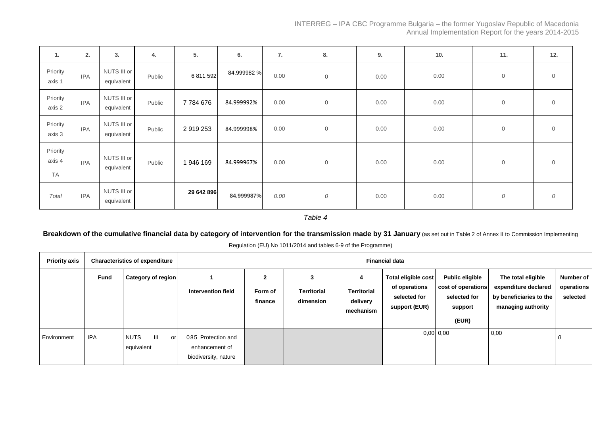| 1.                              | 2.         | 3.                        | 4.     | 5.         | 6.          | 7.   | 8.             | 9.   | 10.  | 11.            | 12.            |
|---------------------------------|------------|---------------------------|--------|------------|-------------|------|----------------|------|------|----------------|----------------|
| Priority<br>axis 1              | <b>IPA</b> | NUTS III or<br>equivalent | Public | 6 811 592  | 84.999982 % | 0.00 | $\overline{0}$ | 0.00 | 0.00 | $\overline{0}$ | $\overline{0}$ |
| Priority<br>axis 2              | <b>IPA</b> | NUTS III or<br>equivalent | Public | 7784676    | 84.999992%  | 0.00 | $\overline{0}$ | 0.00 | 0.00 | $\overline{0}$ | $\overline{0}$ |
| Priority<br>axis 3              | <b>IPA</b> | NUTS III or<br>equivalent | Public | 2919253    | 84.999998%  | 0.00 | $\mathbf 0$    | 0.00 | 0.00 | $\overline{0}$ | $\overline{0}$ |
| Priority<br>axis 4<br><b>TA</b> | <b>IPA</b> | NUTS III or<br>equivalent | Public | 1946 169   | 84.999967%  | 0.00 | $\mathbf 0$    | 0.00 | 0.00 | $\overline{0}$ | $\overline{0}$ |
| Total                           | <b>IPA</b> | NUTS III or<br>equivalent |        | 29 642 896 | 84.999987%  | 0.00 | 0              | 0.00 | 0.00 | 0              | 0              |

*Table 4*

# Breakdown of the cumulative financial data by category of intervention for the transmission made by 31 January (as set out in Table 2 of Annex II to Commission Implementing

Regulation (EU) No 1011/2014 and tables 6-9 of the Programme)

| <b>Priority axis</b> |             | <b>Characteristics of expenditure</b> |                                                              | <b>Financial data</b>              |                                      |                                                  |                                                                       |                                                                                  |                                                                                             |                                     |  |  |  |
|----------------------|-------------|---------------------------------------|--------------------------------------------------------------|------------------------------------|--------------------------------------|--------------------------------------------------|-----------------------------------------------------------------------|----------------------------------------------------------------------------------|---------------------------------------------------------------------------------------------|-------------------------------------|--|--|--|
|                      | <b>Fund</b> | Category of region                    | Intervention field                                           | $\mathbf{2}$<br>Form of<br>finance | 3<br><b>Territorial</b><br>dimension | 4<br><b>Territorial</b><br>delivery<br>mechanism | Total eligible cost<br>of operations<br>selected for<br>support (EUR) | <b>Public eligible</b><br>cost of operations<br>selected for<br>support<br>(EUR) | The total eligible<br>expenditure declared<br>by beneficiaries to the<br>managing authority | Number of<br>operations<br>selected |  |  |  |
| Environment          | <b>IPA</b>  | Ш<br><b>NUTS</b><br>or<br>equivalent  | 085 Protection and<br>enhancement of<br>biodiversity, nature |                                    |                                      |                                                  |                                                                       | $0,00$ 0,00                                                                      | 0,00                                                                                        | U                                   |  |  |  |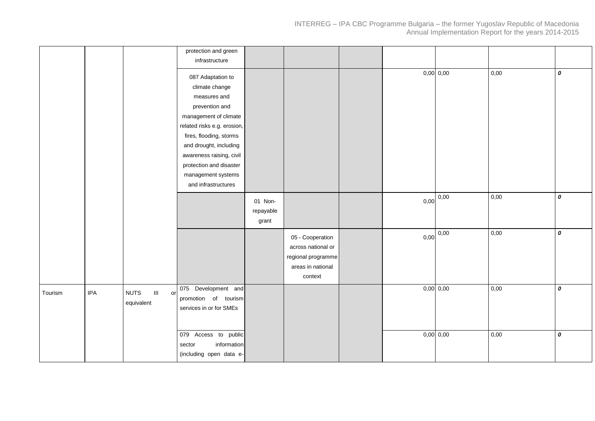|         |            |                                                                       | protection and green<br>infrastructure                                                                                                                                                                                                    |                               |                                                                                              |      |                       |      |   |
|---------|------------|-----------------------------------------------------------------------|-------------------------------------------------------------------------------------------------------------------------------------------------------------------------------------------------------------------------------------------|-------------------------------|----------------------------------------------------------------------------------------------|------|-----------------------|------|---|
|         |            |                                                                       | 087 Adaptation to<br>climate change<br>measures and<br>prevention and<br>management of climate<br>related risks e.g. erosion,<br>fires, flooding, storms<br>and drought, including<br>awareness raising, civil<br>protection and disaster |                               |                                                                                              |      | $0,00$ 0,00           | 0,00 | 0 |
|         |            |                                                                       | management systems<br>and infrastructures                                                                                                                                                                                                 |                               |                                                                                              |      |                       |      |   |
|         |            |                                                                       |                                                                                                                                                                                                                                           | 01 Non-<br>repayable<br>grant |                                                                                              | 0,00 | 0,00                  | 0,00 | 0 |
|         |            |                                                                       |                                                                                                                                                                                                                                           |                               | 05 - Cooperation<br>across national or<br>regional programme<br>areas in national<br>context |      | $0,00$ $\boxed{0,00}$ | 0,00 | 0 |
| Tourism | <b>IPA</b> | $\ensuremath{\mathsf{III}}\xspace$<br>or<br><b>NUTS</b><br>equivalent | 075 Development and<br>promotion of tourism<br>services in or for SMEs                                                                                                                                                                    |                               |                                                                                              |      | $0,00$ 0,00           | 0,00 | 0 |
|         |            |                                                                       | 079 Access to public<br>information<br>sector<br>(including open data e-                                                                                                                                                                  |                               |                                                                                              |      | $0,00$ 0,00           | 0,00 | 0 |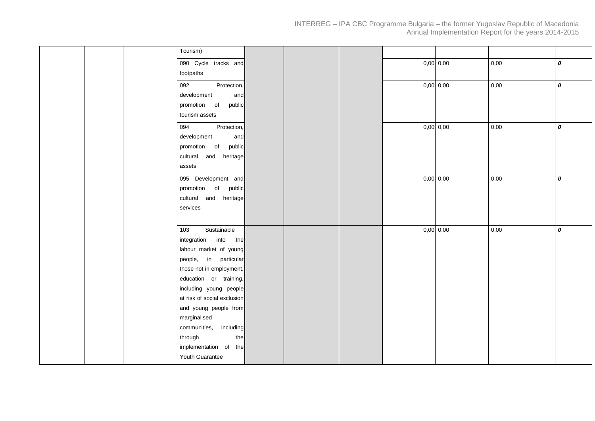| Tourism)  |                             |  |  |             |      |   |
|-----------|-----------------------------|--|--|-------------|------|---|
|           | 090 Cycle tracks and        |  |  | $0,00$ 0,00 | 0,00 | 0 |
| footpaths |                             |  |  |             |      |   |
| 092       | Protection,                 |  |  | $0,00$ 0,00 | 0,00 | 0 |
|           | development<br>and          |  |  |             |      |   |
|           | promotion of<br>public      |  |  |             |      |   |
|           | tourism assets              |  |  |             |      |   |
| 094       | Protection,                 |  |  | $0,00$ 0,00 | 0,00 | 0 |
|           | development<br>and          |  |  |             |      |   |
|           | promotion of<br>public      |  |  |             |      |   |
|           | cultural and heritage       |  |  |             |      |   |
| assets    |                             |  |  |             |      |   |
|           | 095 Development and         |  |  | $0,00$ 0,00 | 0,00 | 0 |
|           | promotion of public         |  |  |             |      |   |
|           | cultural and heritage       |  |  |             |      |   |
| services  |                             |  |  |             |      |   |
|           |                             |  |  |             |      |   |
| 103       | Sustainable                 |  |  | $0,00$ 0,00 | 0,00 | 0 |
|           | integration into<br>the     |  |  |             |      |   |
|           | labour market of young      |  |  |             |      |   |
|           | people, in particular       |  |  |             |      |   |
|           | those not in employment,    |  |  |             |      |   |
|           | education or training,      |  |  |             |      |   |
|           | including young people      |  |  |             |      |   |
|           | at risk of social exclusion |  |  |             |      |   |
|           | and young people from       |  |  |             |      |   |
|           | marginalised                |  |  |             |      |   |
|           | communities,<br>including   |  |  |             |      |   |
| through   | the                         |  |  |             |      |   |
|           | implementation of the       |  |  |             |      |   |
|           | Youth Guarantee             |  |  |             |      |   |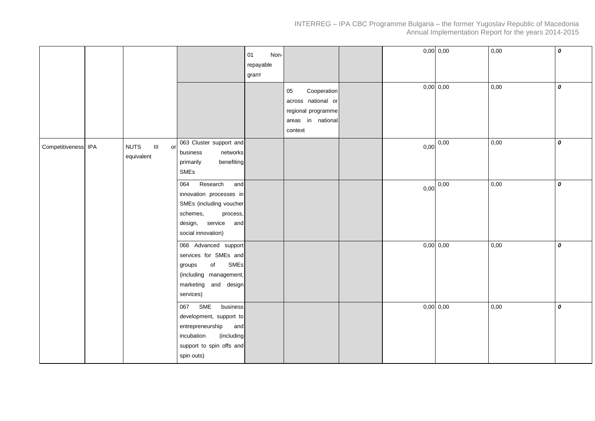|                     |                                                   |                                                                                                                                                   | 01<br>Non-<br>repayable<br>grant | Cooperation<br>05<br>across national or<br>regional programme |      | $0,00$ 0,00<br>$0,00$ 0,00 | 0,00<br>0,00 | 0<br>0           |
|---------------------|---------------------------------------------------|---------------------------------------------------------------------------------------------------------------------------------------------------|----------------------------------|---------------------------------------------------------------|------|----------------------------|--------------|------------------|
|                     |                                                   |                                                                                                                                                   |                                  | areas in national<br>context                                  |      |                            |              |                  |
| Competitiveness IPA | $\mathbf{III}$<br><b>NUTS</b><br>or<br>equivalent | 063 Cluster support and<br>business<br>networks<br>benefiting<br>primarily<br>SMEs                                                                |                                  |                                                               | 0,00 | 0,00                       | 0,00         | 0                |
|                     |                                                   | Research<br>064<br>and<br>innovation processes in<br>SMEs (including voucher<br>schemes,<br>process,<br>design, service and<br>social innovation) |                                  |                                                               | 0,00 | 0,00                       | 0,00         | $\boldsymbol{o}$ |
|                     |                                                   | 066 Advanced support<br>services for SMEs and<br>SMEs<br>of<br>groups<br>(including management,<br>marketing and design<br>services)              |                                  |                                                               |      | $0,00$ 0,00                | 0,00         | 0                |
|                     |                                                   | 067 SME<br>business<br>development, support to<br>entrepreneurship<br>and<br>incubation<br>(including<br>support to spin offs and<br>spin outs)   |                                  |                                                               |      | $0,00$ 0,00                | 0,00         | 0                |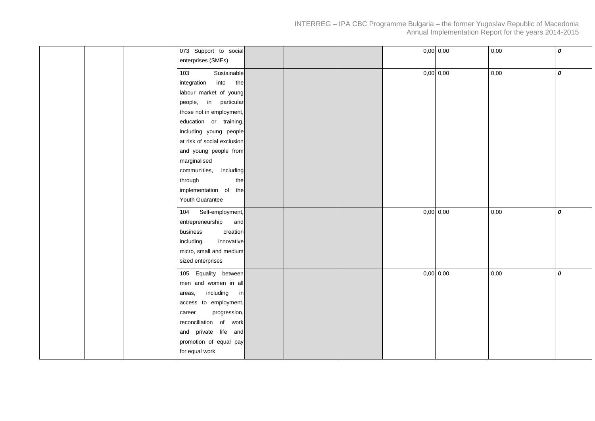|     | 073 Support to social<br>enterprises (SMEs) |  |  | $0,00$ 0,00 | 0,00 | 0 |
|-----|---------------------------------------------|--|--|-------------|------|---|
| 103 | Sustainable                                 |  |  | $0,00$ 0,00 | 0,00 | 0 |
|     | integration into<br>the                     |  |  |             |      |   |
|     | labour market of young                      |  |  |             |      |   |
|     | people, in particular                       |  |  |             |      |   |
|     | those not in employment,                    |  |  |             |      |   |
|     | education or training,                      |  |  |             |      |   |
|     | including young people                      |  |  |             |      |   |
|     | at risk of social exclusion                 |  |  |             |      |   |
|     | and young people from                       |  |  |             |      |   |
|     | marginalised                                |  |  |             |      |   |
|     | communities, including                      |  |  |             |      |   |
|     | through<br>the                              |  |  |             |      |   |
|     | implementation of the                       |  |  |             |      |   |
|     | Youth Guarantee                             |  |  |             |      |   |
|     | 104 Self-employment,                        |  |  | $0,00$ 0,00 | 0,00 | 0 |
|     | entrepreneurship<br>and                     |  |  |             |      |   |
|     | business<br>creation                        |  |  |             |      |   |
|     | including<br>innovative                     |  |  |             |      |   |
|     | micro, small and medium                     |  |  |             |      |   |
|     | sized enterprises                           |  |  |             |      |   |
|     | 105 Equality between                        |  |  | $0,00$ 0,00 | 0,00 | 0 |
|     | men and women in all                        |  |  |             |      |   |
|     | including<br>areas,<br>in                   |  |  |             |      |   |
|     | access to employment,                       |  |  |             |      |   |
|     | progression,<br>career                      |  |  |             |      |   |
|     | reconciliation of work                      |  |  |             |      |   |
|     | and private life and                        |  |  |             |      |   |
|     | promotion of equal pay                      |  |  |             |      |   |
|     | for equal work                              |  |  |             |      |   |
|     |                                             |  |  |             |      |   |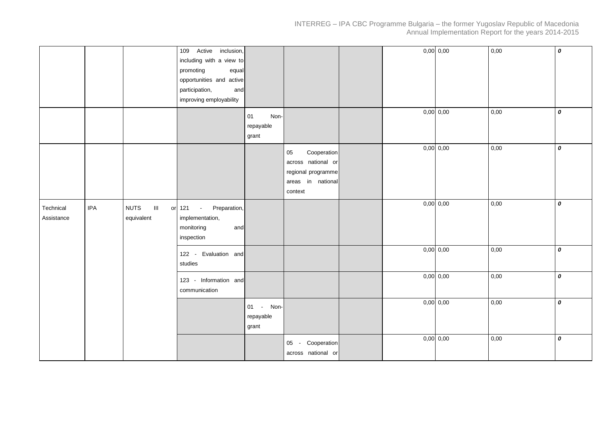|                         |            |                                            | 109 Active inclusion,<br>including with a view to<br>promoting<br>equal<br>opportunities and active<br>participation,<br>and<br>improving employability |                                  |                                                                                               |  | $0,00$ 0,00 | 0,00 | 0 |
|-------------------------|------------|--------------------------------------------|---------------------------------------------------------------------------------------------------------------------------------------------------------|----------------------------------|-----------------------------------------------------------------------------------------------|--|-------------|------|---|
|                         |            |                                            |                                                                                                                                                         | Non-<br>01<br>repayable<br>grant |                                                                                               |  | $0,00$ 0,00 | 0,00 | 0 |
|                         |            |                                            |                                                                                                                                                         |                                  | Cooperation<br>05<br>across national or<br>regional programme<br>areas in national<br>context |  | $0,00$ 0,00 | 0,00 | 0 |
| Technical<br>Assistance | <b>IPA</b> | <b>NUTS</b><br>$\  \cdot \ $<br>equivalent | Preparation,<br>or 121 -<br>implementation,<br>monitoring<br>and<br>inspection                                                                          |                                  |                                                                                               |  | $0,00$ 0,00 | 0,00 | 0 |
|                         |            |                                            | 122 - Evaluation and<br>studies                                                                                                                         |                                  |                                                                                               |  | $0,00$ 0,00 | 0,00 | 0 |
|                         |            |                                            | 123 - Information and<br>communication                                                                                                                  |                                  |                                                                                               |  | $0,00$ 0,00 | 0,00 | 0 |
|                         |            |                                            |                                                                                                                                                         | 01 - Non-<br>repayable<br>grant  |                                                                                               |  | $0,00$ 0,00 | 0,00 | 0 |
|                         |            |                                            |                                                                                                                                                         |                                  | 05 - Cooperation<br>across national or                                                        |  | $0,00$ 0,00 | 0,00 | 0 |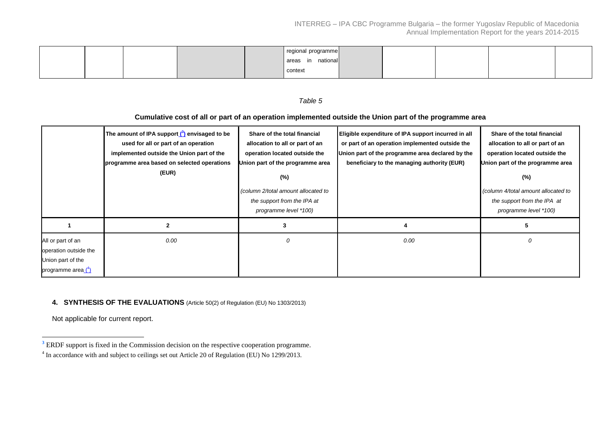|  |  | regional programme |  |  |  |
|--|--|--------------------|--|--|--|
|  |  | nationall<br>areas |  |  |  |
|  |  | context            |  |  |  |

# *Table 5*

# **Cumulative cost of all or part of an operation implemented outside the Union part of the programme area**

|                                                                                       | The amount of IPA support ( <sup>3</sup> ) envisaged to be<br>used for all or part of an operation<br>implemented outside the Union part of the<br>programme area based on selected operations<br>(EUR) | Share of the total financial<br>allocation to all or part of an<br>operation located outside the<br>Union part of the programme area<br>$(\%)$<br>(column 2/total amount allocated to<br>the support from the IPA at<br>programme level *100) | Eligible expenditure of IPA support incurred in all<br>or part of an operation implemented outside the<br>Union part of the programme area declared by the<br>beneficiary to the managing authority (EUR) | Share of the total financial<br>allocation to all or part of an<br>operation located outside the<br>Union part of the programme area<br>$(\%)$<br>(column 4/total amount allocated to<br>the support from the IPA at<br>programme level *100) |
|---------------------------------------------------------------------------------------|---------------------------------------------------------------------------------------------------------------------------------------------------------------------------------------------------------|-----------------------------------------------------------------------------------------------------------------------------------------------------------------------------------------------------------------------------------------------|-----------------------------------------------------------------------------------------------------------------------------------------------------------------------------------------------------------|-----------------------------------------------------------------------------------------------------------------------------------------------------------------------------------------------------------------------------------------------|
|                                                                                       |                                                                                                                                                                                                         |                                                                                                                                                                                                                                               |                                                                                                                                                                                                           |                                                                                                                                                                                                                                               |
| All or part of an<br>operation outside the<br>Union part of the<br>programme area (4) | 0.00                                                                                                                                                                                                    |                                                                                                                                                                                                                                               | 0.00                                                                                                                                                                                                      | 0                                                                                                                                                                                                                                             |

#### **4. SYNTHESIS OF THE EVALUATIONS** (Article 50(2) of Regulation (EU) No 1303/2013)

Not applicable for current report.

 $\overline{a}$ 

<sup>&</sup>lt;sup>3</sup> ERDF support is fixed in the Commission decision on the respective cooperation programme.

<sup>&</sup>lt;sup>4</sup> In accordance with and subject to ceilings set out Article 20 of Regulation (EU) No 1299/2013.